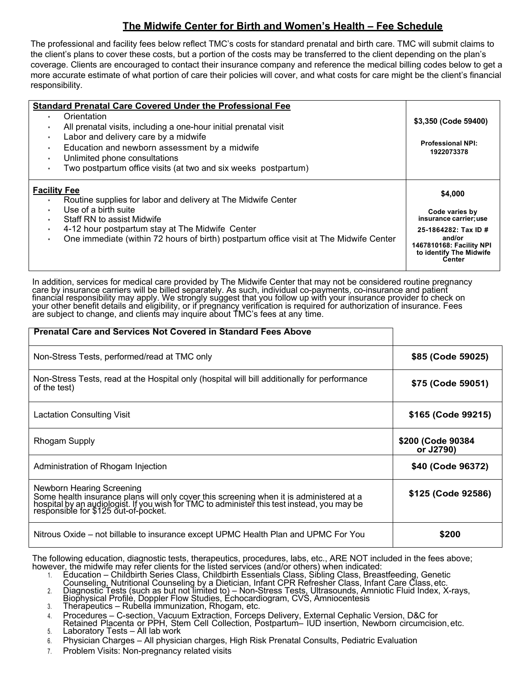## **The Midwife Center for Birth and Women's Health – Fee Schedule**

The professional and facility fees below reflect TMC's costs for standard prenatal and birth care. TMC will submit claims to the client's plans to cover these costs, but a portion of the costs may be transferred to the client depending on the plan's coverage. Clients are encouraged to contact their insurance company and reference the medical billing codes below to get a more accurate estimate of what portion of care their policies will cover, and what costs for care might be the client's financial responsibility.

| <b>Standard Prenatal Care Covered Under the Professional Fee</b>                                                                                                                                                                                                                                                                                         |                                                                                                                                                        |
|----------------------------------------------------------------------------------------------------------------------------------------------------------------------------------------------------------------------------------------------------------------------------------------------------------------------------------------------------------|--------------------------------------------------------------------------------------------------------------------------------------------------------|
| Orientation<br>$\bullet$<br>All prenatal visits, including a one-hour initial prenatal visit<br>$\bullet$<br>Labor and delivery care by a midwife<br>$\bullet$<br>Education and newborn assessment by a midwife<br>$\bullet$<br>Unlimited phone consultations<br>$\bullet$                                                                               | \$3,350 (Code 59400)<br><b>Professional NPI:</b><br>1922073378                                                                                         |
| Two postpartum office visits (at two and six weeks postpartum)                                                                                                                                                                                                                                                                                           |                                                                                                                                                        |
| <b>Facility Fee</b><br>Routine supplies for labor and delivery at The Midwife Center<br>$\bullet$<br>Use of a birth suite<br>$\bullet$<br>Staff RN to assist Midwife<br>$\bullet$<br>4-12 hour postpartum stay at The Midwife Center<br>$\bullet$<br>One immediate (within 72 hours of birth) postpartum office visit at The Midwife Center<br>$\bullet$ | \$4.000<br>Code varies by<br>insurance carrier; use<br>25-1864282: Tax ID #<br>and/or<br>1467810168: Facility NPI<br>to identify The Midwife<br>Center |

In addition, services for medical care provided by The Midwife Center that may not be considered routine pregnancy care by insurance carriers will be billed separately. As such, individual co-payments, co-insurance and patient<br>financial responsibility may apply. We strongly suggest that you follow up with your insurance provider to che are subject to change, and clients may inquire about TMC's fees at any time.

| <b>Prenatal Care and Services Not Covered in Standard Fees Above</b>                                                                                                                                                                                  |                                 |
|-------------------------------------------------------------------------------------------------------------------------------------------------------------------------------------------------------------------------------------------------------|---------------------------------|
| Non-Stress Tests, performed/read at TMC only                                                                                                                                                                                                          | \$85 (Code 59025)               |
| Non-Stress Tests, read at the Hospital only (hospital will bill additionally for performance<br>of the test)                                                                                                                                          | \$75 (Code 59051)               |
| Lactation Consulting Visit                                                                                                                                                                                                                            | \$165 (Code 99215)              |
| Rhogam Supply                                                                                                                                                                                                                                         | \$200 (Code 90384)<br>or J2790) |
| Administration of Rhogam Injection                                                                                                                                                                                                                    | \$40 (Code 96372)               |
| Newborn Hearing Screening<br>Some health insurance plans will only cover this screening when it is administered at a hospital by an audiologist. If you wish for TMC to administer this test instead, you may be responsible for \$125 out-of-pocket. | \$125 (Code 92586)              |
| Nitrous Oxide – not billable to insurance except UPMC Health Plan and UPMC For You                                                                                                                                                                    | \$200                           |

The following education, diagnostic tests, therapeutics, procedures, labs, etc., ARE NOT included in the fees above; however, the midwife may refer clients for the listed services (and/or others) when indicated:

- 1. Education Childbirth Series Class, Childbirth Essentials Class, Sibling Class, Breastfeeding, Genetic Counseling, Nutritional Counseling by a Dietician, Infant CPR Refresher Class, Infant Care Class,etc.
	-
- 2. Diagnostic Tests (such as but not limited to) Non-Stress Tests, Ultrasounds, Amniotic Fluid Index, X-rays, Biophysical Profile, Doppler Flow Studies, Echocardiogram, CVS, Amniocentesis
	-
- 3. Therapeutics Rubella immunization, Rhogam, etc.
- 

4. Procedures – C-section, Vacuum Extraction, Forceps Delivery, External Cephalic Version, D&C for<br>Retained Placenta or PPH, Stem Cell Collection, Postpartum– IUD insertion, Newborn circumcision,etc.<br>5. Laboratory Tests –

- 5. Laboratory Tests All lab work
- 6. Physician Charges All physician charges, High Risk Prenatal Consults, Pediatric Evaluation
- 7. Problem Visits: Non-pregnancy related visits